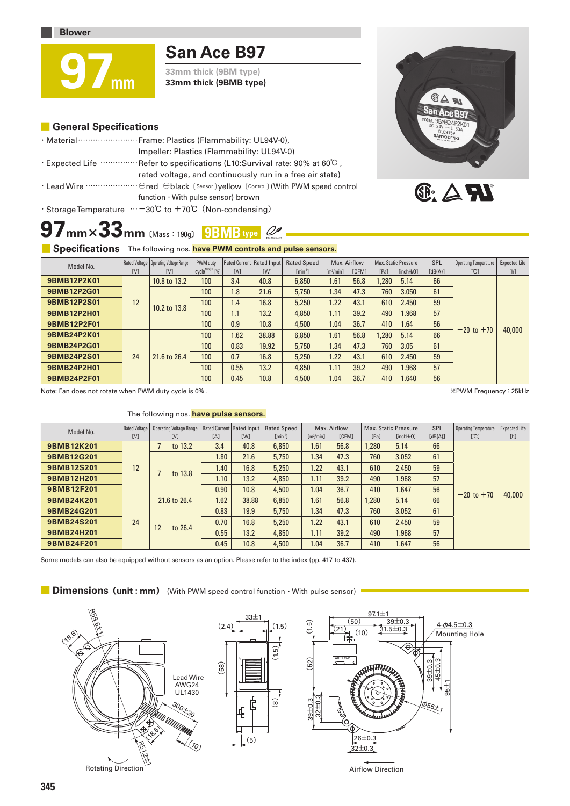# **San Ace B97**

**33mm thick (9BM type) 33mm thick (9BMB type)**

### **■ General Specifications**

**97mm** 

| · Material ·························· Frame: Plastics (Flammability: UL94V-0),          |
|-----------------------------------------------------------------------------------------|
| Impeller: Plastics (Flammability: UL94V-0)                                              |
| $\cdot$ Expected Life $\cdots$ Refer to specifications (L10:Survival rate: 90% at 60°C, |
| rated voltage, and continuously run in a free air state)                                |
|                                                                                         |
| function $\cdot$ With pulse sensor) brown                                               |
| $\cdot$ Storage Temperature $\cdots$ -30°C to +70°C (Non-condensing)                    |

# **97mm×33mm** 〔Mass:190g〕 **9BMB type**



**GAN** 

### **E** Specifications The following nos. have PWM controls and pulse sensors.

| Model No.   |     | Rated Voltage   Operating Voltage Range | PWM duty                                    |      | Rated Current   Rated Input | <b>Rated Speed</b>           | Max. Airflow            |              | Max. Static Pressure |                        | SPL     | <b>Operating Temperature</b>  | Expected Life |  |
|-------------|-----|-----------------------------------------|---------------------------------------------|------|-----------------------------|------------------------------|-------------------------|--------------|----------------------|------------------------|---------|-------------------------------|---------------|--|
|             | [V] | [V]                                     | $cvcle^{\text{Note}(\mathbb{R})\times}$ [%] | [A]  | <b>TWT</b>                  | $\lceil \text{min}^1 \rceil$ | $\lceil m^3/m n \rceil$ | <b>TCFM1</b> | [Pa]                 | [inchH <sub>2</sub> O] | [dB(A)] | $\lbrack \mathcal{C} \rbrack$ | [h]           |  |
| 9BMB12P2K01 |     | 10.8 to 13.2                            | 100                                         | 3.4  | 40.8                        | 6.850                        | 1.61                    | 56.8         | .280                 | 5.14                   | 66      |                               |               |  |
| 9BMB12P2G01 |     |                                         | 100                                         | 1.8  | 21.6                        | 5.750                        | .34                     | 47.3         | 760                  | 3.050                  | 61      |                               |               |  |
| 9BMB12P2S01 | 12  | 10.2 to 13.8                            | 100                                         | 1.4  | 16.8                        | 5.250                        | 1.22                    | 43.1         | 610                  | 2.450                  | 59      |                               |               |  |
| 9BMB12P2H01 |     |                                         | 100                                         | 1.1  | 13.2                        | 4,850                        | 1.11                    | 39.2         | 490                  | 1.968                  | 57      | $-20$ to $+70$                | 40,000        |  |
| 9BMB12P2F01 |     |                                         | 100                                         | 0.9  | 10.8                        | 4,500                        | 1.04                    | 36.7         | 410                  | 1.64                   | 56      |                               |               |  |
| 9BMB24P2K01 |     | 21.6 to 26.4                            | 100                                         | 1.62 | 38.88                       | 6.850                        | 1.61                    | 56.8         | .280                 | 5.14                   | 66      |                               |               |  |
| 9BMB24P2G01 |     |                                         | 100                                         | 0.83 | 19.92                       | 5.750                        | 1.34                    | 47.3         | 760                  | 3.05                   | 61      |                               |               |  |
| 9BMB24P2S01 | 24  |                                         | 100                                         | 0.7  | 16.8                        | 5.250                        | 1.22                    | 43.1         | 610                  | 2.450                  | 59      |                               |               |  |
| 9BMB24P2H01 |     |                                         | 100                                         | 0.55 | 13.2                        | 4,850                        | 1.11                    | 39.2         | 490                  | 1.968                  | 57      |                               |               |  |
| 9BMB24P2F01 |     |                                         |                                             |      | 100                         | 0.45                         | 10.8                    | 4,500        | 1.04                 | 36.7                   | 410     | 1.640                         | 56            |  |

Note: Fan does not rotate when PWM duty cycle is 0% .

※PWM Frequency:25kHz

### The following nos. **have pulse sensors.**

| Model No.         | Rated Voltage | Operating Voltage Range |      | Rated Current   Rated Input | <b>Rated Speed</b>        | Max. Airflow            |              | Max. Static Pressure |                        | SPL     | <b>Operating Temperature</b> | Expected Life |
|-------------------|---------------|-------------------------|------|-----------------------------|---------------------------|-------------------------|--------------|----------------------|------------------------|---------|------------------------------|---------------|
|                   | [V]           | [V]                     | [A]  | [W]                         | $\lceil \min^{-1} \rceil$ | $\lceil m^3/m n \rceil$ | <b>[CFM]</b> | [Pa]                 | [inchH <sub>2</sub> 0] | [dB(A)] | [°C]                         | [h]           |
| <b>9BMB12K201</b> |               | to 13.2                 | 3.4  | 40.8                        | 6,850                     | 1.61                    | 56.8         | 1.280                | 5.14                   | 66      | $-20$ to $+70$               | 40,000        |
| 9BMB12G201        |               |                         | 1.80 | 21.6                        | 5.750                     | 1.34                    | 47.3         | 760                  | 3.052                  | 61      |                              |               |
| <b>9BMB12S201</b> | 12            | to 13.8                 | 1.40 | 16.8                        | 5.250                     | 1.22                    | 43.1         | 610                  | 2.450                  | 59      |                              |               |
| 9BMB12H201        |               |                         | 1.10 | 13.2                        | 4,850                     | 1.11                    | 39.2         | 490                  | 1.968                  | 57      |                              |               |
| <b>9BMB12F201</b> |               |                         | 0.90 | 10.8                        | 4,500                     | 1.04                    | 36.7         | 410                  | 1.647                  | 56      |                              |               |
| 9BMB24K201        |               | 21.6 to 26.4            | 1.62 | 38.88                       | 6.850                     | 1.61                    | 56.8         | 1.280                | 5.14                   | 66      |                              |               |
| 9BMB24G201        |               |                         | 0.83 | 19.9                        | 5,750                     | 1.34                    | 47.3         | 760                  | 3.052                  | 61      |                              |               |
| 9BMB24S201        | 24            | 12<br>to 26.4           | 0.70 | 16.8                        | 5.250                     | 1.22                    | 43.1         | 610                  | 2.450                  | 59      |                              |               |
| 9BMB24H201        |               |                         | 0.55 | 13.2                        | 4.850                     | 1.11                    | 39.2         | 490                  | 1.968                  | 57      |                              |               |
| 9BMB24F201        |               |                         | 0.45 | 10.8                        | 4,500                     | 1.04                    | 36.7         | 410                  | 1.647                  | 56      |                              |               |

Some models can also be equipped without sensors as an option. Please refer to the index (pp. 417 to 437).

**■ Dimensions(unit : mm)** (With PWM speed control function ・ With pulse sensor)

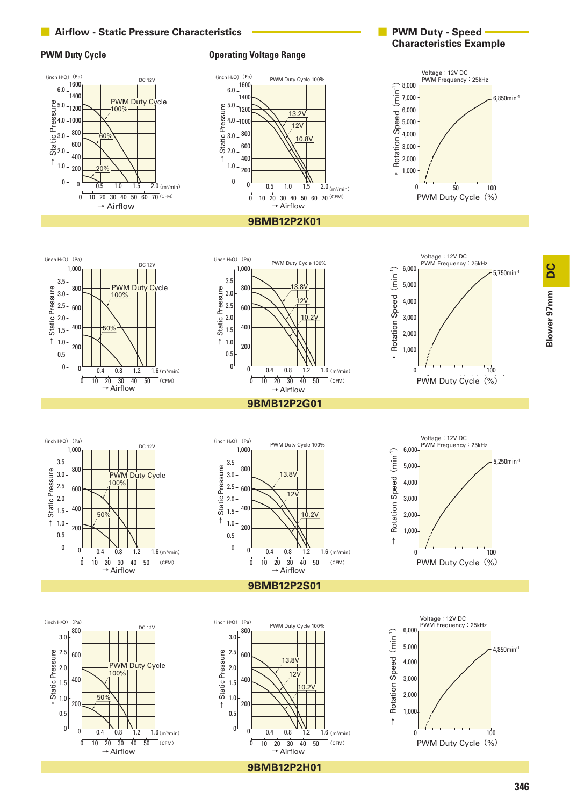

**9BMB12P2H01**

 $\rightarrow$  Airflow

### **■ Airflow - Static Pressure Characteristics**

 $\rightarrow$  Airflow

**PWM Duty Cycle CONSUMER 2008 THE CONSUMPTER OPERATION Operating Voltage Range** 

**DC** Blower 97mm **Blower 97mm**

### **■ PWM Duty - Speed Characteristics Example**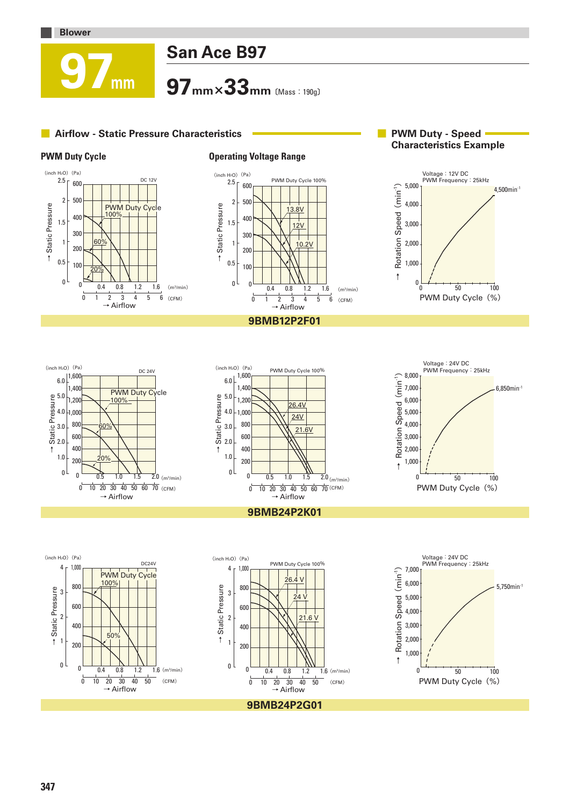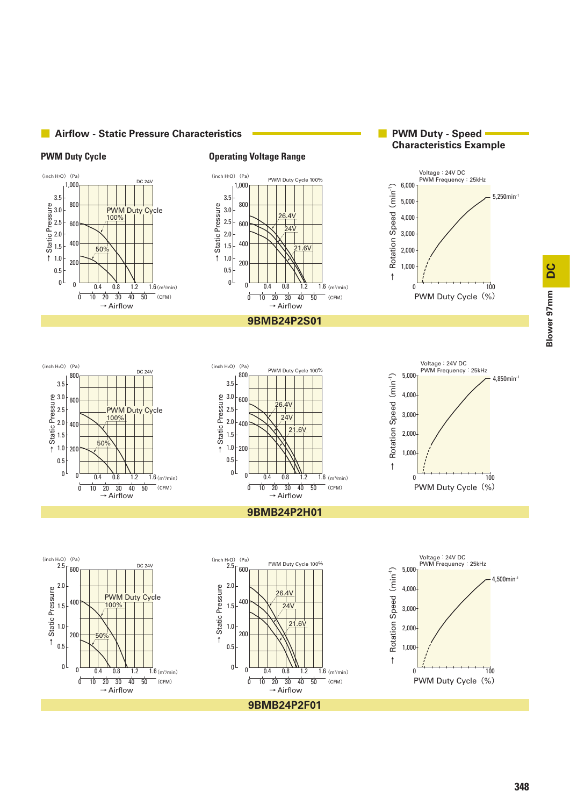



20 10  $0.4$ 0.8

30 40 50  $1.2$ 

21.6V

PWM Duty Cycle 100%

 $24\lambda$  $26.4V$ 

 $\rightarrow$  Airflow

 $1.6$  (m<sup>3</sup>/min)

 $-$  (CFM)



**■ Airflow - Static Pressure Characteristics**

### **PWM Duty Cycle CONSUMER 2008 THE CONSUMPTER OPERATION OPERATION CONSUMPTER PUMP OPERATION**

 $0^{\lfloor}$  0  $\overline{0}$ 

0.5

3.5 800

200

600

1,000

### **■ PWM Duty - Speed Characteristics Example**